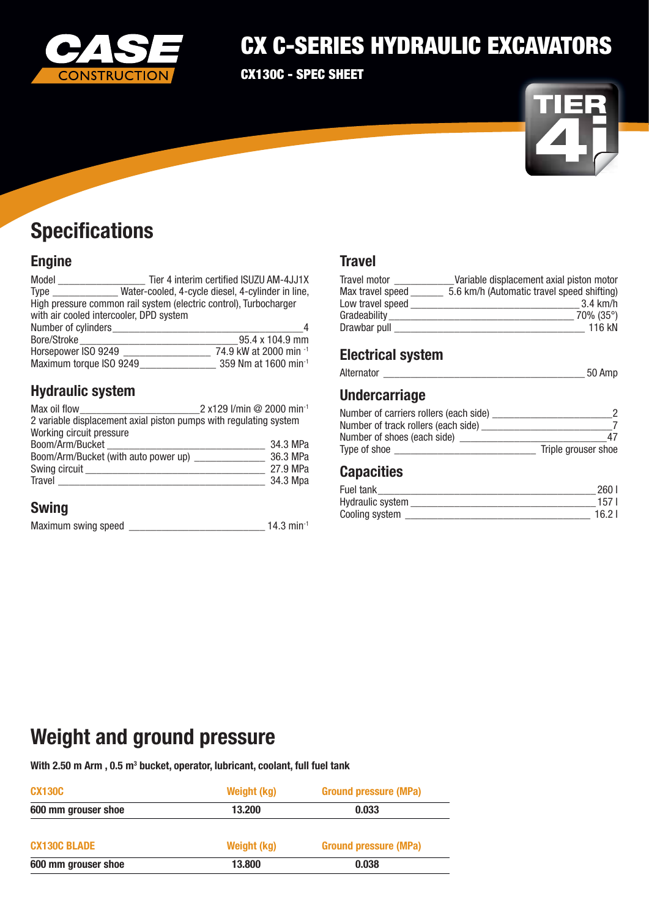

## CX C-SERIES HYDRAULIC EXCAVATORS

CX130C - SPEC SHEET



# **Specifications**

### Engine

| Model                                                             |                                                   | Tier 4 interim certified ISUZU AM-4JJ1X |
|-------------------------------------------------------------------|---------------------------------------------------|-----------------------------------------|
| Type                                                              | Water-cooled, 4-cycle diesel, 4-cylinder in line, |                                         |
| High pressure common rail system (electric control), Turbocharger |                                                   |                                         |
| with air cooled intercooler, DPD system                           |                                                   |                                         |
| Number of cylinders                                               |                                                   |                                         |
| Bore/Stroke                                                       |                                                   | 95.4 x 104.9 mm                         |
| Horsepower ISO 9249                                               |                                                   | 74.9 kW at 2000 min -1                  |
| Maximum torque ISO 9249                                           |                                                   | 359 Nm at 1600 min <sup>-1</sup>        |
|                                                                   |                                                   |                                         |

### Hydraulic system

| Max oil flow                                                      | 2 x129 l/min @ 2000 min <sup>-1</sup> |
|-------------------------------------------------------------------|---------------------------------------|
| 2 variable displacement axial piston pumps with regulating system |                                       |
| Working circuit pressure                                          |                                       |
| Boom/Arm/Bucket                                                   | 34.3 MPa                              |
| Boom/Arm/Bucket (with auto power up)                              | 36.3 MPa                              |
| Swing circuit                                                     | 27.9 MPa                              |
| Travel                                                            | 34.3 Mpa                              |

### Swing

| Maximum swing speed |  | $14.3$ min <sup>-1</sup> |  |
|---------------------|--|--------------------------|--|
|---------------------|--|--------------------------|--|

### **Travel**

| <b>Travel motor</b> | Variable displacement axial piston motor   |
|---------------------|--------------------------------------------|
| Max travel speed    | 5.6 km/h (Automatic travel speed shifting) |
| Low travel speed    | $3.4 \text{ km/h}$                         |
| Gradeability        | $70\%$ (35°)                               |
| Drawbar pull        | 116 kN                                     |

### Electrical system

| Alternator |  |  |
|------------|--|--|
|------------|--|--|

### Undercarriage

| Number of carriers rollers (each side) |                     |
|----------------------------------------|---------------------|
| Number of track rollers (each side)    |                     |
| Number of shoes (each side)            | 47                  |
| Type of shoe                           | Triple grouser shoe |

### **Capacities**

| Fuel tank        | 260   |
|------------------|-------|
| Hydraulic system | 157.  |
| Cooling system   | 16.21 |

## Weight and ground pressure

With 2.50 m Arm , 0.5  $\mathsf{m}^{_3}$  bucket, operator, lubricant, coolant, full fuel tank

| <b>CX130C</b>       | <b>Weight (kg)</b><br><b>Ground pressure (MPa)</b> |                              |
|---------------------|----------------------------------------------------|------------------------------|
| 600 mm grouser shoe | 13.200<br>0.033                                    |                              |
| <b>CX130C BLADE</b> | <b>Weight (kg)</b>                                 | <b>Ground pressure (MPa)</b> |
| 600 mm grouser shoe | 13.800                                             | 0.038                        |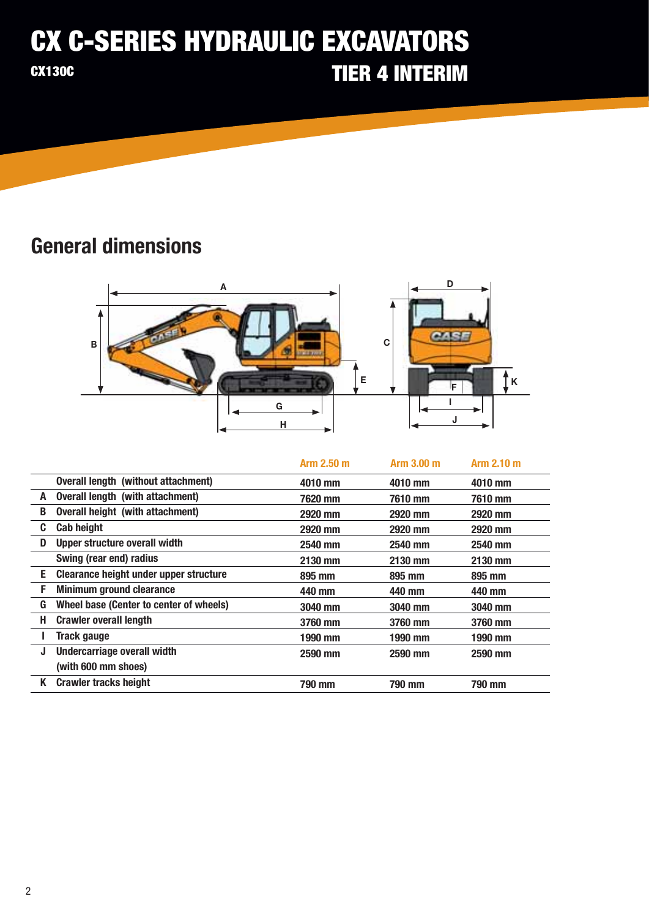### CX C-SERIES HYDRAULIC EXCAVATORS CX130C TIER 4 INTERIM

## General dimensions



|    |                                         | Arm 2.50 m | Arm 3.00 m | Arm 2.10 m |
|----|-----------------------------------------|------------|------------|------------|
|    | Overall length (without attachment)     | 4010 mm    | 4010 mm    | 4010 mm    |
| A  | Overall length (with attachment)        | 7620 mm    | 7610 mm    | 7610 mm    |
| B  | Overall height (with attachment)        | 2920 mm    | 2920 mm    | 2920 mm    |
| C. | <b>Cab height</b>                       | 2920 mm    | 2920 mm    | 2920 mm    |
| D  | <b>Upper structure overall width</b>    | 2540 mm    | 2540 mm    | 2540 mm    |
|    | Swing (rear end) radius                 | 2130 mm    | 2130 mm    | 2130 mm    |
| E. | Clearance height under upper structure  | 895 mm     | 895 mm     | 895 mm     |
| F. | <b>Minimum ground clearance</b>         | 440 mm     | 440 mm     | 440 mm     |
| G  | Wheel base (Center to center of wheels) | 3040 mm    | 3040 mm    | 3040 mm    |
| Н. | <b>Crawler overall length</b>           | 3760 mm    | 3760 mm    | 3760 mm    |
|    | <b>Track gauge</b>                      | 1990 mm    | 1990 mm    | 1990 mm    |
| J  | <b>Undercarriage overall width</b>      | 2590 mm    | 2590 mm    | 2590 mm    |
|    | (with 600 mm shoes)                     |            |            |            |
| K  | <b>Crawler tracks height</b>            | 790 mm     | 790 mm     | 790 mm     |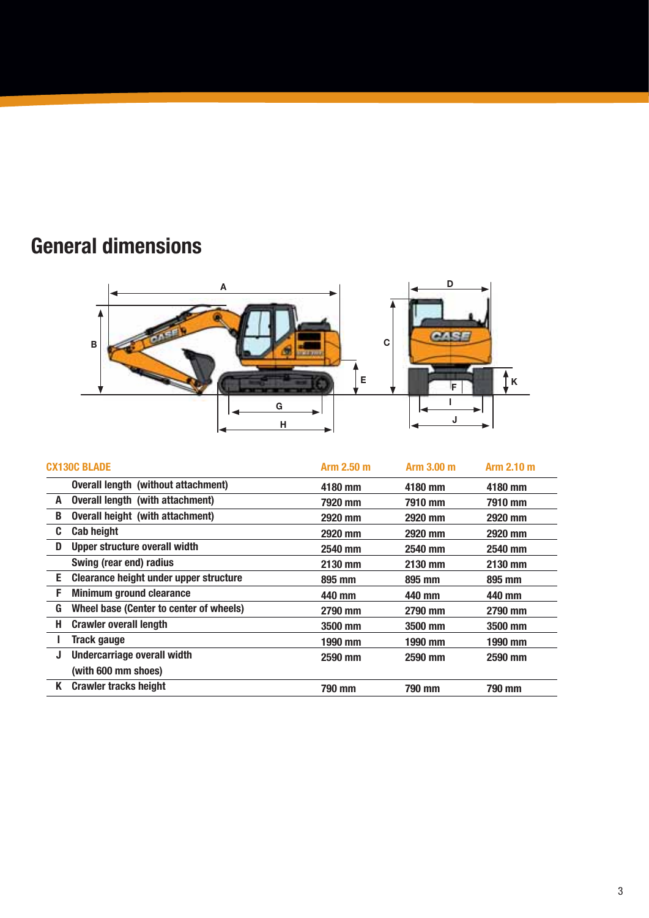# General dimensions



|    | <b>CX130C BLADE</b>                        | Arm 2.50 m | Arm 3.00 m | Arm 2.10 m |
|----|--------------------------------------------|------------|------------|------------|
|    | <b>Overall length (without attachment)</b> | 4180 mm    | 4180 mm    | 4180 mm    |
| A  | Overall length (with attachment)           | 7920 mm    | 7910 mm    | 7910 mm    |
| B  | Overall height (with attachment)           | 2920 mm    | 2920 mm    | 2920 mm    |
| C. | <b>Cab height</b>                          | 2920 mm    | 2920 mm    | 2920 mm    |
| D  | Upper structure overall width              | 2540 mm    | 2540 mm    | 2540 mm    |
|    | Swing (rear end) radius                    | 2130 mm    | 2130 mm    | 2130 mm    |
| Е. | Clearance height under upper structure     | 895 mm     | 895 mm     | 895 mm     |
| F  | <b>Minimum ground clearance</b>            | 440 mm     | 440 mm     | 440 mm     |
| G  | Wheel base (Center to center of wheels)    | 2790 mm    | 2790 mm    | 2790 mm    |
| Н. | <b>Crawler overall length</b>              | 3500 mm    | 3500 mm    | 3500 mm    |
|    | <b>Track gauge</b>                         | 1990 mm    | 1990 mm    | 1990 mm    |
| J  | <b>Undercarriage overall width</b>         | 2590 mm    | 2590 mm    | 2590 mm    |
|    | (with 600 mm shoes)                        |            |            |            |
| K  | <b>Crawler tracks height</b>               | 790 mm     | 790 mm     | 790 mm     |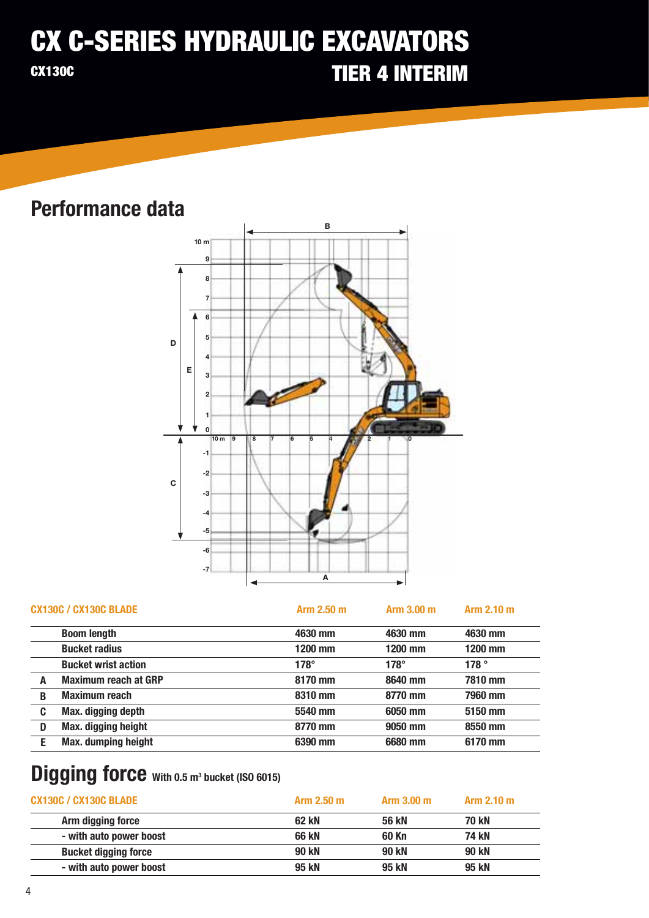### TIER 4 INTERIM CX C-SERIES HYDRAULIC EXCAVATORS CX130C

## Performance data



|   | <b>CX130C / CX130C BLADE</b> | Arm 2.50 m  | Arm 3.00 m  | Arm 2.10 m |
|---|------------------------------|-------------|-------------|------------|
|   | <b>Boom length</b>           | 4630 mm     | 4630 mm     | 4630 mm    |
|   | <b>Bucket radius</b>         | 1200 mm     | 1200 mm     | 1200 mm    |
|   | <b>Bucket wrist action</b>   | $178^\circ$ | $178^\circ$ | 178°       |
|   | <b>Maximum reach at GRP</b>  | 8170 mm     | 8640 mm     | 7810 mm    |
| B | <b>Maximum reach</b>         | 8310 mm     | 8770 mm     | 7960 mm    |
| C | Max. digging depth           | 5540 mm     | 6050 mm     | 5150 mm    |
| D | <b>Max. digging height</b>   | 8770 mm     | 9050 mm     | 8550 mm    |
|   | <b>Max. dumping height</b>   | 6390 mm     | 6680 mm     | 6170 mm    |

## Digging force With 0.5 m<sup>3</sup> bucket (ISO 6015)

| <b>CX130C / CX130C BLADE</b> | Arm 2.50 m | Arm 3.00 m | Arm 2.10 m   |  |
|------------------------------|------------|------------|--------------|--|
| Arm digging force            | 62 kN      | 56 kN      | <b>70 kN</b> |  |
| - with auto power boost      | 66 kN      | 60 Kn      | 74 kN        |  |
| <b>Bucket digging force</b>  | 90 kN      | 90 kN      | 90 kN        |  |
| - with auto power boost      | 95 kN      | 95 kN      | 95 kN        |  |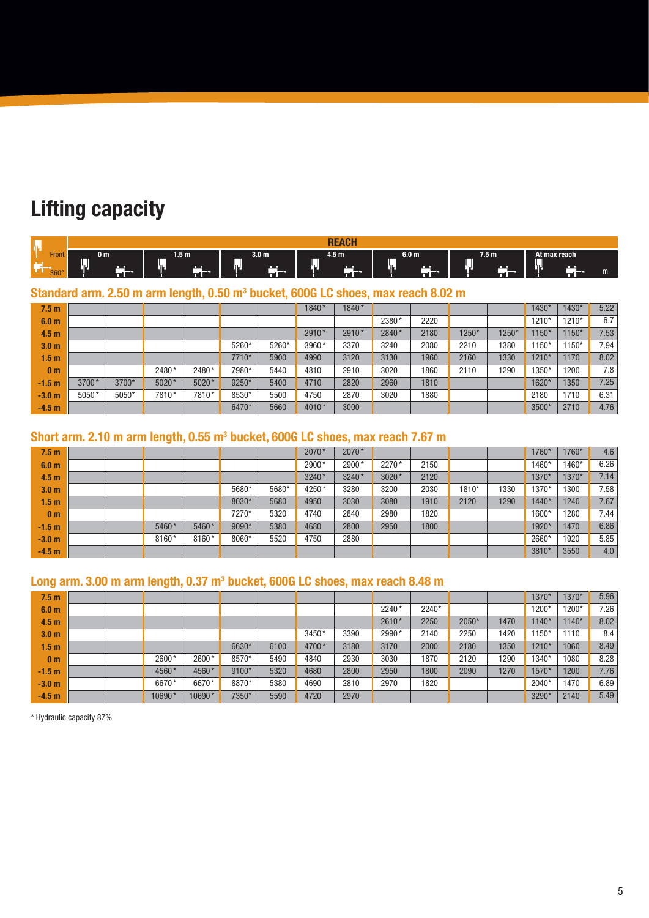# Lifting capacity

|               |                             |            |                                             | <b>DE</b><br><b>AOL</b>         |                                                |                       |                          |
|---------------|-----------------------------|------------|---------------------------------------------|---------------------------------|------------------------------------------------|-----------------------|--------------------------|
| 1 VH L<br>360 | 0 m<br>−<br>۱۳,<br>. .<br>т | 1.5 m<br>─ | 3.0 <sub>m</sub><br>──<br>۱U<br><b>1999</b> | 4.5 m<br>_<br>m n<br>שני<br>m ' | 6.0 <sub>m</sub><br>ישנ<br>$\mathbf{u}$<br>ГÍ. | 7.5 <sub>m</sub><br>─ | At max reach<br>---<br>Ш |

#### Standard arm. 2.50 m arm length, 0.50 m<sup>3</sup> bucket, 600G LC shoes, max reach 8.02 m

| 7.5 <sub>m</sub> |         |       |       |       |       |       | 1840*   | 1840* |       |      |         |       | 1430*   | $1430*$ | 5.22 |
|------------------|---------|-------|-------|-------|-------|-------|---------|-------|-------|------|---------|-------|---------|---------|------|
| 6.0 <sub>m</sub> |         |       |       |       |       |       |         |       | 2380* | 2220 |         |       | 1210*   | 1210*   | 6.7  |
| 4.5 <sub>m</sub> |         |       |       |       |       |       | $2910*$ | 2910* | 2840* | 2180 | $1250*$ | 1250* | $1150*$ | $150*$  | 7.53 |
| 3.0 <sub>m</sub> |         |       |       |       | 5260* | 5260* | 3960*   | 3370  | 3240  | 2080 | 2210    | 380   | $150*$  | $150*$  | 7.94 |
| 1.5 <sub>m</sub> |         |       |       |       | 7710* | 5900  | 4990    | 3120  | 3130  | 1960 | 2160    | 1330  | 1210*   | 1170    | 8.02 |
| 0 <sub>m</sub>   |         |       | 2480* | 2480* | 7980* | 5440  | 4810    | 2910  | 3020  | 1860 | 2110    | 1290  | 1350*   | 1200    | 7.8  |
| $-1.5 m$         | $3700*$ | 3700* | 5020* | 5020* | 9250* | 5400  | 4710    | 2820  | 2960  | 1810 |         |       | 1620*   | 1350    | 7.25 |
| $-3.0m$          | $5050*$ | 5050* | 7810* | 7810* | 8530* | 5500  | 4750    | 2870  | 3020  | 1880 |         |       | 2180    | 1710    | 6.31 |
| $-4.5 m$         |         |       |       |       | 6470* | 5660  | 4010*   | 3000  |       |      |         |       | 3500*   | 2710    | 4.76 |

#### Short arm. 2.10 m arm length, 0.55 m<sup>3</sup> bucket, 600G LC shoes, max reach 7.67 m

| 7.5 <sub>m</sub> |  |       |       |       |       | 2070* | 2070* |       |      |       |      | 1760* | 1760* | 4.6   |
|------------------|--|-------|-------|-------|-------|-------|-------|-------|------|-------|------|-------|-------|-------|
| 6.0 <sub>m</sub> |  |       |       |       |       | 2900* | 2900* | 2270* | 2150 |       |      | 1460* | 1460* | 6.26  |
| 4.5 <sub>m</sub> |  |       |       |       |       | 3240* | 3240* | 3020* | 2120 |       |      | 1370* | 1370* | 7.14. |
| 3.0 <sub>m</sub> |  |       |       | 5680* | 5680* | 4250* | 3280  | 3200  | 2030 | 1810* | 1330 | 1370* | 1300  | 7.58  |
| 1.5 <sub>m</sub> |  |       |       | 8030* | 5680  | 4950  | 3030  | 3080  | 1910 | 2120  | 1290 | 1440* | 1240  | 7.67  |
| 0 <sub>m</sub>   |  |       |       | 7270* | 5320  | 4740  | 2840  | 2980  | 1820 |       |      | 1600* | 1280  | 7.44  |
| $-1.5 m$         |  | 5460* | 5460* | 9090* | 5380  | 4680  | 2800  | 2950  | 1800 |       |      | 1920* | 1470  | 6.86  |
| $-3.0m$          |  | 8160* | 8160* | 8060* | 5520  | 4750  | 2880  |       |      |       |      | 2660* | 1920  | 5.85  |
| $-4.5 m$         |  |       |       |       |       |       |       |       |      |       |      | 3810* | 3550  | 4.0   |

#### Long arm. 3.00 m arm length, 0.37 m<sup>3</sup> bucket, 600G LC shoes, max reach 8.48 m

| 7.5 <sub>m</sub> |  |        |        |       |      |       |      |         |       |       |      | 1370*   | 1370*   | 5.96 |
|------------------|--|--------|--------|-------|------|-------|------|---------|-------|-------|------|---------|---------|------|
| 6.0 <sub>m</sub> |  |        |        |       |      |       |      | $2240*$ | 2240* |       |      | 1200*   | 1200*   | 7.26 |
| 4.5 <sub>m</sub> |  |        |        |       |      |       |      | 2610*   | 2250  | 2050* | 1470 | $1140*$ | $1140*$ | 8.02 |
| 3.0 <sub>m</sub> |  |        |        |       |      | 3450* | 3390 | 2990*   | 2140  | 2250  | 1420 | 1150*   | 1110    | 8.4  |
| 1.5 <sub>m</sub> |  |        |        | 6630* | 6100 | 4700* | 3180 | 3170    | 2000  | 2180  | 1350 | $1210*$ | 1060    | 8.49 |
| 0 <sub>m</sub>   |  | 2600*  | 2600*  | 8570* | 5490 | 4840  | 2930 | 3030    | 1870  | 2120  | 1290 | 1340*   | 1080    | 8.28 |
| $-1.5m$          |  | 4560*  | 4560*  | 9100* | 5320 | 4680  | 2800 | 2950    | 1800  | 2090  | 1270 | 1570*   | 1200    | 7.76 |
| $-3.0 m$         |  | 6670*  | 6670*  | 8870* | 5380 | 4690  | 2810 | 2970    | 1820  |       |      | 2040*   | 1470    | 6.89 |
| $-4.5 m$         |  | 10690* | 10690* | 7350* | 5590 | 4720  | 2970 |         |       |       |      | 3290*   | 2140    | 5.49 |

\* Hydraulic capacity 87%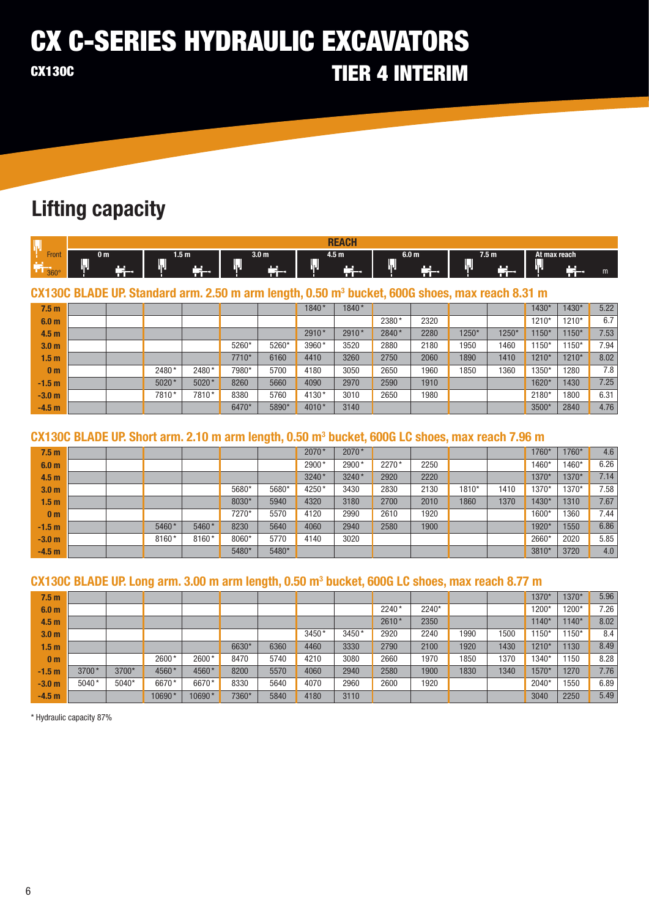### **CX C-SERIES HYDRAULIC EXCAVATORS TIER 4 INTERIM CX130C**

## **Lifting capacity**

|                                                  |                                |                   |                         | nг                  |                    |                        |                                  |
|--------------------------------------------------|--------------------------------|-------------------|-------------------------|---------------------|--------------------|------------------------|----------------------------------|
| $\overline{\phantom{0}}$<br>Front<br>$360^\circ$ | 0 m<br>m 11<br>. .<br>ш<br>пL, | 1.5 m<br>עו<br>-- | 3.0 m<br>┯<br>שנ<br>. . | 4.5 m<br><b>FOR</b> | 6.0 m<br>OШ<br>- - | 7.5 <sub>m</sub><br>Æц | "At max reach"<br>--<br>ועו<br>m |

CX130C BLADE UP. Standard arm. 2.50 m arm length, 0.50 m<sup>3</sup> bucket, 600G shoes, max reach 8.31 m

| 7.5 <sub>m</sub> |  |         |       |       |       | 1840* | 1840* |       |      |       |       | 1430*   | 1430*   | 5.22             |
|------------------|--|---------|-------|-------|-------|-------|-------|-------|------|-------|-------|---------|---------|------------------|
| 6.0 <sub>m</sub> |  |         |       |       |       |       |       | 2380* | 2320 |       |       | 1210*   | 1210*   | 6.7              |
| 4.5 <sub>m</sub> |  |         |       |       |       | 2910* | 2910* | 2840* | 2280 | 1250* | 1250* | $1150*$ | $1150*$ | 7.53             |
| 3.0 <sub>m</sub> |  |         |       | 5260* | 5260* | 3960* | 3520  | 2880  | 2180 | 1950  | 1460  | $1150*$ | 1150*   | 7.94.            |
| 1.5 <sub>m</sub> |  |         |       | 7710* | 6160  | 4410  | 3260  | 2750  | 2060 | 1890  | 1410  | 1210*   | 1210*   | 8.02             |
| 0 <sub>m</sub>   |  | 2480*   | 2480* | 7980* | 5700  | 4180  | 3050  | 2650  | 1960 | 1850  | 1360  | 1350*   | 1280    | 7.8 <sub>1</sub> |
| $-1.5 m$         |  | $5020*$ | 5020* | 8260  | 5660  | 4090  | 2970  | 2590  | 1910 |       |       | 1620*   | 1430    | 7.25             |
| $-3.0 m$         |  | 7810*   | 7810* | 8380  | 5760  | 4130* | 3010  | 2650  | 1980 |       |       | 2180*   | 1800    | 6.31             |
| $-4.5 m$         |  |         |       | 6470* | 5890* | 4010* | 3140  |       |      |       |       | 3500*   | 2840    | 4.76             |

#### CX130C BLADE UP. Short arm. 2.10 m arm length, 0.50 m<sup>3</sup> bucket, 600G LC shoes, max reach 7.96 m

| 7.5 <sub>m</sub> |  |       |       |       |       | 2070* | 2070* |       |      |       |      | 1760* | 1760* | 4.6  |
|------------------|--|-------|-------|-------|-------|-------|-------|-------|------|-------|------|-------|-------|------|
| 6.0 <sub>m</sub> |  |       |       |       |       | 2900* | 2900  | 2270* | 2250 |       |      | 1460* | 1460* | 6.26 |
| 4.5 <sub>m</sub> |  |       |       |       |       | 3240* | 3240* | 2920  | 2220 |       |      | 1370* | 1370* | 7.14 |
| 3.0 <sub>m</sub> |  |       |       | 5680* | 5680* | 4250* | 3430  | 2830  | 2130 | 1810* | 1410 | 1370* | 1370* | 7.58 |
| 1.5 <sub>m</sub> |  |       |       | 8030* | 5940  | 4320  | 3180  | 2700  | 2010 | 1860  | 1370 | 1430* | 1310  | 7.67 |
| 0 <sub>m</sub>   |  |       |       | 7270* | 5570  | 4120  | 2990  | 2610  | 1920 |       |      | 1600* | 1360  | 7.44 |
| $-1.5 m$         |  | 5460* | 5460* | 8230  | 5640  | 4060  | 2940  | 2580  | 1900 |       |      | 1920* | 1550  | 6.86 |
| $-3.0 m$         |  | 8160* | 8160* | 8060* | 5770  | 4140  | 3020  |       |      |       |      | 2660* | 2020  | 5.85 |
| $-4.5 m$         |  |       |       | 5480* | 5480* |       |       |       |      |       |      | 3810* | 3720  | 4.0  |

### CX130C BLADE UP. Long arm. 3.00 m arm length, 0.50 m<sup>3</sup> bucket, 600G LC shoes, max reach 8.77 m

| 7.5 <sub>m</sub> |         |       |        |        |       |      |       |       |         |       |      |      | 1370 <sup>*</sup> | $1370*$ | 5.96 |
|------------------|---------|-------|--------|--------|-------|------|-------|-------|---------|-------|------|------|-------------------|---------|------|
| 6.0 <sub>m</sub> |         |       |        |        |       |      |       |       | 2240*   | 2240* |      |      | 1200*             | 1200*   | 7.26 |
| 4.5 <sub>m</sub> |         |       |        |        |       |      |       |       | $2610*$ | 2350  |      |      | $1140*$           | $1140*$ | 8.02 |
| 3.0 <sub>m</sub> |         |       |        |        |       |      | 3450* | 3450* | 2920    | 2240  | 1990 | 1500 | $150*$            | $1150*$ | 8.4  |
| 1.5 <sub>m</sub> |         |       |        |        | 6630* | 6360 | 4460  | 3330  | 2790    | 2100  | 1920 | 1430 | 1210*             | 1130    | 8.49 |
| 0 <sub>m</sub>   |         |       | 2600*  | 2600*  | 8470  | 5740 | 4210  | 3080  | 2660    | 1970  | 1850 | 1370 | 1340*             | 1150    | 8.28 |
| $-1.5 m$         | 3700*   | 3700* | 4560*  | 4560*  | 8200  | 5570 | 4060  | 2940  | 2580    | 1900  | 1830 | 1340 | 1570*             | 1270    | 7.76 |
| $-3.0 m$         | $5040*$ | 5040* | 6670*  | 6670*  | 8330  | 5640 | 4070  | 2960  | 2600    | 1920  |      |      | $2040*$           | 1550    | 6.89 |
| $-4.5m$          |         |       | 10690* | 10690* | 7360* | 5840 | 4180  | 3110  |         |       |      |      | 3040              | 2250    | 5.49 |

\* Hydraulic capacity 87%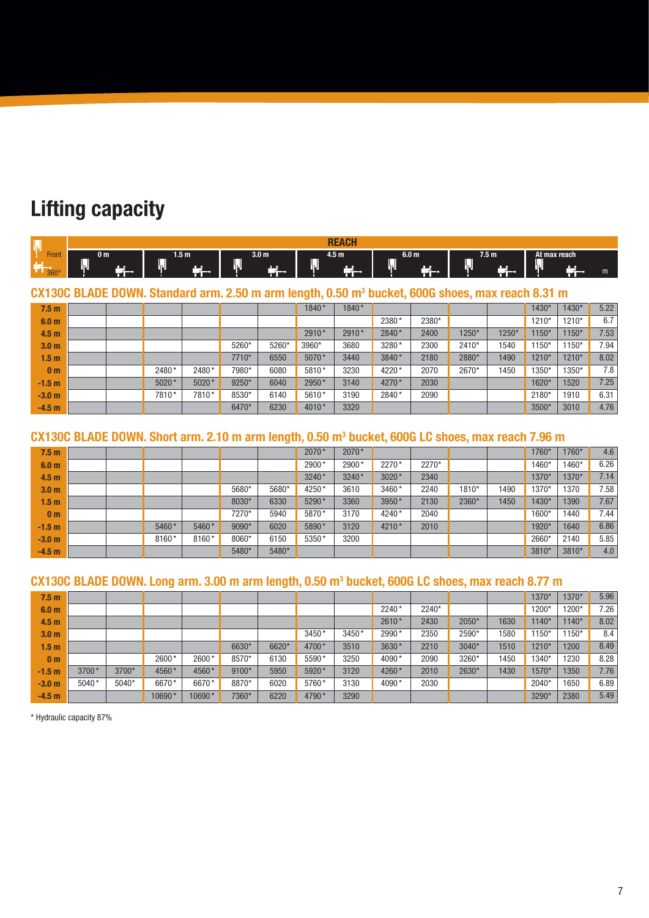## **Lifting capacity**

|                      |                  |                                 |                     | $\sim$<br><b>DF</b><br>nE |                                               |                                            |                         |
|----------------------|------------------|---------------------------------|---------------------|---------------------------|-----------------------------------------------|--------------------------------------------|-------------------------|
| Front<br>$360^\circ$ | 0 m<br>שנ<br>. . | 1.5 m<br>ועו<br>. .<br>--<br>T. | 3.0 m<br>שני<br>. . | 4.5 m<br><b>COMPANY</b>   | 6.0 <sub>m</sub><br>—<br>יענ<br>щ.<br>--<br>m | 7.5 <sub>m</sub><br>_<br><b>P.A.</b><br>-- | At max reach<br>hΨ<br>m |

CX130C BLADE DOWN. Standard arm. 2.50 m arm length, 0.50 m<sup>3</sup> bucket, 600G shoes, max reach 8.31 m

| 7.5 <sub>m</sub> |  |       |       |       |       | 1840*   | 1840* |       |       |       |       | 1430* | 1430* | 5.22 |
|------------------|--|-------|-------|-------|-------|---------|-------|-------|-------|-------|-------|-------|-------|------|
| 6.0 <sub>m</sub> |  |       |       |       |       |         |       | 2380* | 2380* |       |       | 1210* | 1210* | 6.7  |
| 4.5 <sub>m</sub> |  |       |       |       |       | $2910*$ | 2910* | 2840* | 2400  | 1250* | 1250* | 1150* | 1150* | 7.53 |
| 3.0 <sub>m</sub> |  |       |       | 5260* | 5260* | 3960*   | 3680  | 3280* | 2300  | 2410* | 1540  | 1150* | 1150* | 7.94 |
| 1.5 <sub>m</sub> |  |       |       | 7710* | 6550  | 5070*   | 3440  | 3840* | 2180  | 2880* | 1490  | 1210* | 1210* | 8.02 |
| 0 <sub>m</sub>   |  | 2480* | 2480* | 7980* | 6080  | 5810*   | 3230  | 4220* | 2070  | 2670* | 1450  | 1350* | 1350* | 7.8  |
| $-1.5 m$         |  | 5020* | 5020* | 9250* | 6040  | 2950*   | 3140  | 4270* | 2030  |       |       | 1620* | 1520  | 7.25 |
| $-3.0m$          |  | 7810* | 7810* | 8530* | 6140  | 5610*   | 3190  | 2840* | 2090  |       |       | 2180* | 1910  | 6.31 |
| $-4.5m$          |  |       |       | 6470* | 6230  | 4010*   | 3320  |       |       |       |       | 3500* | 3010  | 4.76 |

#### CX130C BLADE DOWN. Short arm. 2.10 m arm length, 0.50 m<sup>3</sup> bucket, 600G LC shoes, max reach 7.96 m

| 7.5 <sub>m</sub> |  |       |       |       |       | 2070*   | 2070* |       |       |       |      | 1760*             | 1760* | 4.6  |
|------------------|--|-------|-------|-------|-------|---------|-------|-------|-------|-------|------|-------------------|-------|------|
| 6.0 <sub>m</sub> |  |       |       |       |       | 2900*   | 2900* | 2270* | 2270* |       |      | 1460*             | 1460* | 6.26 |
| 4.5 <sub>m</sub> |  |       |       |       |       | $3240*$ | 3240* | 3020* | 2340  |       |      | 1370*             | 1370* | 7.14 |
| 3.0 <sub>m</sub> |  |       |       | 5680* | 5680* | 4250*   | 3610  | 3460* | 2240  | 1810* | 1490 | 1370*             | 1370  | 7.58 |
| 1.5 <sub>m</sub> |  |       |       | 8030* | 6330  | 5290*   | 3360  | 3950* | 2130  | 2360* | 1450 | 1430*             | 1390  | 7.67 |
| 0 <sub>m</sub>   |  |       |       | 7270* | 5940  | 5870*   | 3170  | 4240* | 2040  |       |      | 1600*             | 1440  | 7.44 |
| $-1.5 m$         |  | 5460* | 5460* | 9090* | 6020  | 5890*   | 3120  | 4210* | 2010  |       |      | 1920*             | 1640  | 6.86 |
| $-3.0 m$         |  | 8160* | 8160* | 8060* | 6150  | 5350*   | 3200  |       |       |       |      | 2660 <sup>*</sup> | 2140  | 5.85 |
| $-4.5 m$         |  |       |       | 5480* | 5480* |         |       |       |       |       |      | 3810*             | 3810* | 4.0  |

### CX130C BLADE DOWN. Long arm. 3.00 m arm length, 0.50 m<sup>3</sup> bucket, 600G LC shoes, max reach 8.77 m

| 7.5 <sub>m</sub> |         |       |        |        |       |       |       |       |         |       |       |      | 1370 <sup>*</sup> | 1370*   | 5.96 |
|------------------|---------|-------|--------|--------|-------|-------|-------|-------|---------|-------|-------|------|-------------------|---------|------|
| 6.0 <sub>m</sub> |         |       |        |        |       |       |       |       | $2240*$ | 2240* |       |      | 1200*             | 1200*   | 7.26 |
| 4.5 <sub>m</sub> |         |       |        |        |       |       |       |       | 2610*   | 2430  | 2050* | 1630 | $140*$            | $1140*$ | 8.02 |
| 3.0 <sub>m</sub> |         |       |        |        |       |       | 3450* | 3450* | 2990*   | 2350  | 2590* | 1580 | $1150*$           | $1150*$ | 8.4  |
| 1.5 <sub>m</sub> |         |       |        |        | 6630* | 6620* | 4700* | 3510  | 3630*   | 2210  | 3040* | 1510 | $1210*$           | 1200    | 8.49 |
| 0 <sub>m</sub>   |         |       | 2600*  | 2600*  | 8570* | 6130  | 5590* | 3250  | 4090*   | 2090  | 3260* | 1450 | 1340*             | 1230    | 8.28 |
| $-1.5 m$         | 3700*   | 3700* | 4560*  | 4560*  | 9100* | 5950  | 5920* | 3120  | 4260*   | 2010  | 2630* | 1430 | 1570*             | 1350    | 7.76 |
| $-3.0m$          | $5040*$ | 5040* | 6670*  | 6670*  | 8870* | 6020  | 5760* | 3130  | 4090*   | 2030  |       |      | $2040*$           | 1650    | 6.89 |
| $-4.5 m$         |         |       | 10690* | 10690* | 7360* | 6220  | 4790* | 3290  |         |       |       |      | 3290 <sup>*</sup> | 2380    | 5.49 |

\* Hydraulic capacity 87%